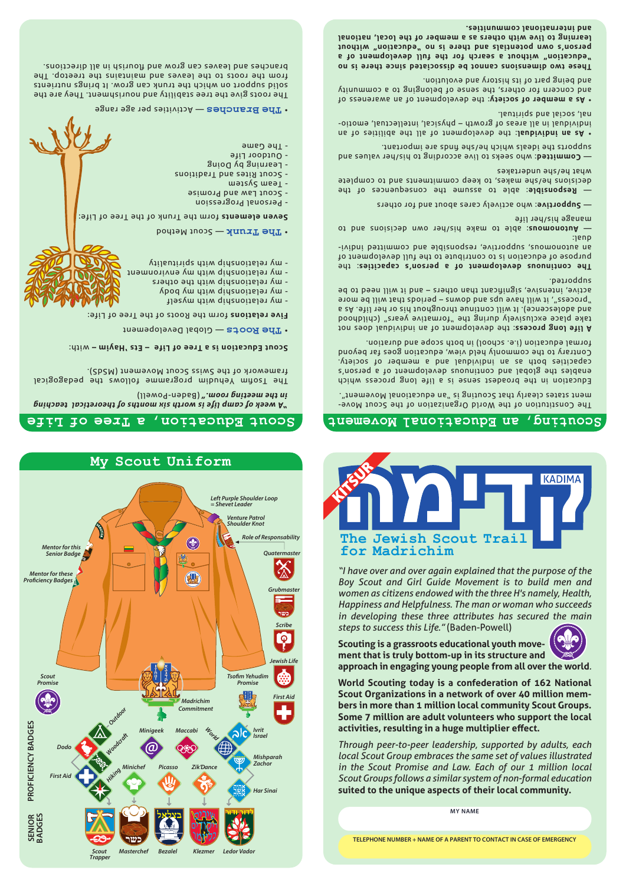

*"A week of camp life is worth six months of theoretical teaching*  (Baden-Powell) *in the meeting room."*

The Tsofia yehudim programme follows the pedagogical framework of the Swiss Scout Movement (MSdS).

### with: **Scout Education is a Tree of Life – Ets 'Hayim –**

— Global Developement **Roots The** •

Five relations form the Roots of the Tree of Life:

- my relationship with myself
- my relationship with my body
- my relationship with the others - my relationship with my environment
- my relationship with spirituality

### $\mathbf{r}$  **The Trunk**  $\mathbf{r}$  equation

Seven elements form the Trunk of the Tree of Life:

- Personal Progression
- Scout Law and Promise
- Team System
- Scout Rites and Traditions
- Learning by Doing
- Outdoor Life - The Game
- $\cdot$  The Branches Activities per age range

The roots give the tree stability and nourishment. They are the sinoi it nutrients on which the trunk can grow. It against a straight from the roots to the leaves and maintains the treetop. The branches and leaves can grow and flourish in all directions.

**MY NAME**

*Through peer-to-peer leadership, supported by adults, each local Scout Group embraces the same set of values illustrated in the Scout Promise and Law. Each of our 1 million local Scout Groups follows a similar system of non-formal education* **suited to the unique aspects of their local community.**

**World Scouting today is a confederation of 162 National Scout Organizations in a network of over 40 million members in more than 1 million local community Scout Groups. Some 7 million are adult volunteers who support the local activities, resulting in a huge multiplier effect.**

**Scouting is a grassroots educational youth movement that is truly bottom-up in its structure and approach in engaging young people from all over the world***.*



*"I have over and over again explained that the purpose of the Boy Scout and Girl Guide Movement is to build men and women as citizens endowed with the three H's namely, Health, Happiness and Helpfulness. The man or woman who succeeds in developing these three attributes has secured the main steps to success this Life."* (Baden-Powell)



### **Life of Tree <sup>a</sup> Education, Scout Movement Educational an Scouting,**

The Constitution of the World Organization of the Scout Movement states clearly that Scouting is "an educational Movement".

Education in the broadest sense is a life long process which enables the global and continuos due sous and actions capacities both as an individual and a member of society. Contrary to the commonly held view, education goes far beyond formal education (i.e. school) in both scope and duration.

A life long process: the development of an individual and a take place exclusively during the "formative years" (childhood and adolescence). It will continue throughout his or her life. As a "process", it will have ups and downs – periods that will be more active, intensive, significant than others – and it will need to be supported.

: the **The continuous development of a person's capacities** purpose of education is to contribute to the full development of eivibni bettimmos bns eldiznoqeen levittoqque auononotus na dual:

Automomous: able to make his/her own decisions and to manage his/her life

: who actively cares about and for others **Supportive** —

Responsible: able to assume the consequences of the decisions he/she makes, to keep commitments and to complete what he/she undertakes

: who seeks to live according to his/her values and **Committed** supports the ideals which he/she finds are important.

 $\bullet$  As an individual the development of all the abilities of an - individual in all areas of growth – physical, intellectual, emotio nal, social and spiritual.

. As a member of society: the development of an awareness of and concern for others, the sense of belonging to a community and being part of its history and evolution.

**These two dimensions cannot be dissociated since there is no "education" without a search for the full development of a person's own potentials and there is no "education" without learning to live with others as a member of the local, national and international communities.**